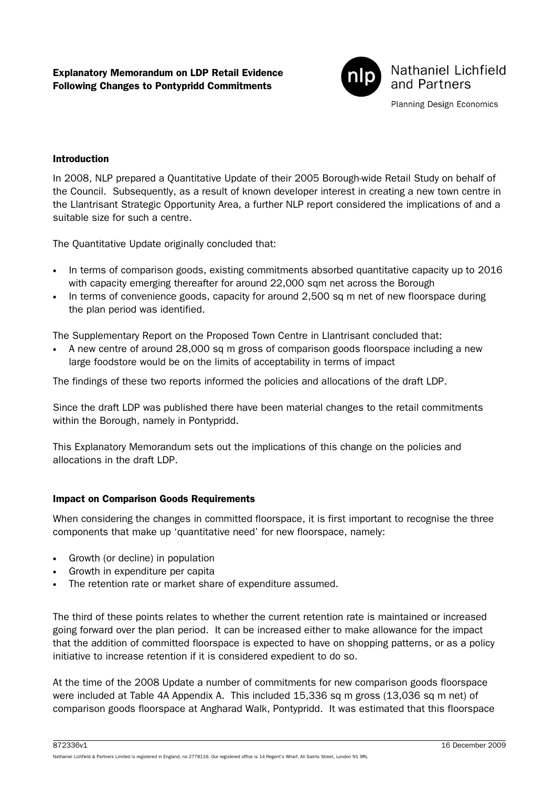

Nathaniel Lichfield and Partners

Planning Design Economics

## Introduction

In 2008, NLP prepared a Quantitative Update of their 2005 Borough-wide Retail Study on behalf of the Council. Subsequently, as a result of known developer interest in creating a new town centre in the Llantrisant Strategic Opportunity Area, a further NLP report considered the implications of and a suitable size for such a centre.

The Quantitative Update originally concluded that:

- In terms of comparison goods, existing commitments absorbed quantitative capacity up to 2016 with capacity emerging thereafter for around 22,000 sqm net across the Borough
- In terms of convenience goods, capacity for around 2,500 sq m net of new floorspace during the plan period was identified.

The Supplementary Report on the Proposed Town Centre in Llantrisant concluded that:

• A new centre of around 28,000 sq m gross of comparison goods floorspace including a new large foodstore would be on the limits of acceptability in terms of impact

The findings of these two reports informed the policies and allocations of the draft LDP.

Since the draft LDP was published there have been material changes to the retail commitments within the Borough, namely in Pontypridd.

This Explanatory Memorandum sets out the implications of this change on the policies and allocations in the draft LDP.

## Impact on Comparison Goods Requirements

When considering the changes in committed floorspace, it is first important to recognise the three components that make up 'quantitative need' for new floorspace, namely:

- Growth (or decline) in population
- Growth in expenditure per capita
- The retention rate or market share of expenditure assumed.

The third of these points relates to whether the current retention rate is maintained or increased going forward over the plan period. It can be increased either to make allowance for the impact that the addition of committed floorspace is expected to have on shopping patterns, or as a policy initiative to increase retention if it is considered expedient to do so.

At the time of the 2008 Update a number of commitments for new comparison goods floorspace were included at Table 4A Appendix A. This included 15,336 sq m gross (13,036 sq m net) of comparison goods floorspace at Angharad Walk, Pontypridd. It was estimated that this floorspace

Nathaniel Lichfield & Partners Limited is registered in England, no 2778116. Our registered office is 14 Regent's Wharf, All Saints Street, London N1 9RL